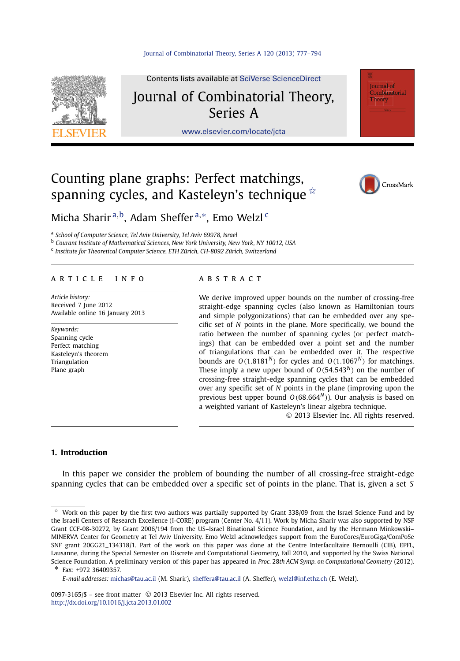

Contents lists available at [SciVerse ScienceDirect](http://www.ScienceDirect.com/) Journal of Combinatorial Theory,

## Series A

[www.elsevier.com/locate/jcta](http://www.elsevier.com/locate/jcta)

# Counting plane graphs: Perfect matchings, spanning cycles, and Kasteleyn's technique  $\dot{\alpha}$



**Journal** of Combinatorial Theory

Micha Sharir <sup>a</sup>*,*b, Adam Sheffer <sup>a</sup>*,*∗, Emo Welzl <sup>c</sup>

<sup>a</sup> *School of Computer Science, Tel Aviv University, Tel Aviv 69978, Israel*

<sup>b</sup> *Courant Institute of Mathematical Sciences, New York University, New York, NY 10012, USA*

<sup>c</sup> *Institute for Theoretical Computer Science, ETH Zürich, CH-8092 Zürich, Switzerland*

#### article info abstract

*Article history:* Received 7 June 2012 Available online 16 January 2013

*Keywords:* Spanning cycle Perfect matching Kasteleyn's theorem Triangulation Plane graph

We derive improved upper bounds on the number of crossing-free straight-edge spanning cycles (also known as Hamiltonian tours and simple polygonizations) that can be embedded over any specific set of *N* points in the plane. More specifically, we bound the ratio between the number of spanning cycles (or perfect matchings) that can be embedded over a point set and the number of triangulations that can be embedded over it. The respective bounds are  $O(1.8181^N)$  for cycles and  $O(1.1067^N)$  for matchings. These imply a new upper bound of  $O(54.543<sup>N</sup>)$  on the number of crossing-free straight-edge spanning cycles that can be embedded over any specific set of *N* points in the plane (improving upon the previous best upper bound  $O(68.664<sup>N</sup>)$ ). Our analysis is based on a weighted variant of Kasteleyn's linear algebra technique.

© 2013 Elsevier Inc. All rights reserved.

#### **1. Introduction**

In this paper we consider the problem of bounding the number of all crossing-free straight-edge spanning cycles that can be embedded over a specific set of points in the plane. That is, given a set *S*

Fax: +972 36409357.

Work on this paper by the first two authors was partially supported by Grant 338/09 from the Israel Science Fund and by the Israeli Centers of Research Excellence (I-CORE) program (Center No. 4/11). Work by Micha Sharir was also supported by NSF Grant CCF-08-30272, by Grant 2006/194 from the US–Israel Binational Science Foundation, and by the Hermann Minkowski– MINERVA Center for Geometry at Tel Aviv University. Emo Welzl acknowledges support from the EuroCores/EuroGiga/ComPoSe SNF grant 20GG21\_134318/1. Part of the work on this paper was done at the Centre Interfacultaire Bernoulli (CIB), EPFL, Lausanne, during the Special Semester on Discrete and Computational Geometry, Fall 2010, and supported by the Swiss National Science Foundation. A preliminary version of this paper has appeared in *Proc.* 28*th ACM Symp. on Computational Geometry* (2012).

*E-mail addresses:* [michas@tau.ac.il](mailto:michas@tau.ac.il) (M. Sharir), [sheffera@tau.ac.il](mailto:sheffera@tau.ac.il) (A. Sheffer), [welzl@inf.ethz.ch](mailto:welzl@inf.ethz.ch) (E. Welzl).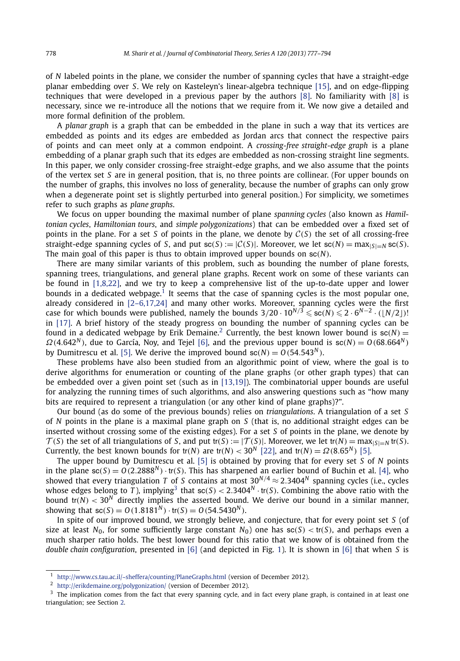of *N* labeled points in the plane, we consider the number of spanning cycles that have a straight-edge planar embedding over *S*. We rely on Kasteleyn's linear-algebra technique [\[15\],](#page-17-0) and on edge-flipping techniques that were developed in a previous paper by the authors [\[8\].](#page-17-0) No familiarity with [\[8\]](#page-17-0) is necessary, since we re-introduce all the notions that we require from it. We now give a detailed and more formal definition of the problem.

A *planar graph* is a graph that can be embedded in the plane in such a way that its vertices are embedded as points and its edges are embedded as Jordan arcs that connect the respective pairs of points and can meet only at a common endpoint. A *crossing-free straight-edge graph* is a plane embedding of a planar graph such that its edges are embedded as non-crossing straight line segments. In this paper, we only consider crossing-free straight-edge graphs, and we also assume that the points of the vertex set *S* are in general position, that is, no three points are collinear. (For upper bounds on the number of graphs, this involves no loss of generality, because the number of graphs can only grow when a degenerate point set is slightly perturbed into general position.) For simplicity, we sometimes refer to such graphs as *plane graphs*.

We focus on upper bounding the maximal number of plane *spanning cycles* (also known as *Hamiltonian cycles*, *Hamiltonian tours*, and *simple polygonizations*) that can be embedded over a fixed set of points in the plane. For a set *<sup>S</sup>* of points in the plane, we denote by C*(S)* the set of all crossing-free straight-edge spanning cycles of *S*, and put  $s c(S) := |C(S)|$ . Moreover, we let  $s c(N) = \max_{|S|=N} s c(S)$ . The main goal of this paper is thus to obtain improved upper bounds on sc*(N)*.

There are many similar variants of this problem, such as bounding the number of plane forests, spanning trees, triangulations, and general plane graphs. Recent work on some of these variants can be found in [\[1,8,22\],](#page-16-0) and we try to keep a comprehensive list of the up-to-date upper and lower bounds in a dedicated webpage.<sup>1</sup> It seems that the case of spanning cycles is the most popular one, already considered in [\[2–6,17,24\]](#page-16-0) and many other works. Moreover, spanning cycles were the first case for which bounds were published, namely the bounds  $3/20 \cdot 10^{N/3} \leqslant sc(N) \leqslant 2 \cdot 6^{N-2} \cdot (\lfloor N/2 \rfloor)!$ in [\[17\].](#page-17-0) A brief history of the steady progress on bounding the number of spanning cycles can be found in a dedicated webpage by Erik Demaine.<sup>2</sup> Currently, the best known lower bound is  $\mathbf{s}c(N)$  =  $\Omega$ (4.642<sup>*N*</sup>), due to García, Noy, and Tejel [\[6\],](#page-17-0) and the previous upper bound is  $\mathfrak{so}(N) = O(68.664^N)$ by Dumitrescu et al. [\[5\].](#page-17-0) We derive the improved bound  $sc(N) = O(54.543^N)$ .

These problems have also been studied from an algorithmic point of view, where the goal is to derive algorithms for enumeration or counting of the plane graphs (or other graph types) that can be embedded over a given point set (such as in [\[13,19\]\)](#page-17-0). The combinatorial upper bounds are useful for analyzing the running times of such algorithms, and also answering questions such as "how many bits are required to represent a triangulation (or any other kind of plane graphs)?".

Our bound (as do some of the previous bounds) relies on *triangulations*. A triangulation of a set *S* of *N* points in the plane is a maximal plane graph on *S* (that is, no additional straight edges can be inserted without crossing some of the existing edges). For a set *S* of points in the plane, we denote by  $\mathcal{T}(S)$  the set of all triangulations of S, and put tr(S) :=  $|\mathcal{T}(S)|$ . Moreover, we let tr(N) = max<sub> $|S|=N$ </sub> tr(S). Currently, the best known bounds for  $tr(N)$  are  $tr(N) < 30^N$  [\[22\],](#page-17-0) and  $tr(N) = \Omega(8.65^N)$  [\[5\].](#page-17-0)

The upper bound by Dumitrescu et al. [\[5\]](#page-17-0) is obtained by proving that for every set *S* of *N* points in the plane  $sc(S) = O(2.2888^N) \cdot tr(S)$ . This has sharpened an earlier bound of Buchin et al. [\[4\],](#page-16-0) who showed that every triangulation *T* of *S* contains at most  $30^{N/4} \approx 2.3404^N$  spanning cycles (i.e., cycles whose edges belong to *T*), implying<sup>3</sup> that  $\sec(S) < 2.3404^N \cdot \text{tr}(S)$ . Combining the above ratio with the bound  $tr(N)$  < 30<sup>*N*</sup> directly implies the asserted bound. We derive our bound in a similar manner, showing that  $\text{sc}(S) = O(1.8181^N) \cdot \text{tr}(S) = O(54.5430^N)$ .

In spite of our improved bound, we strongly believe, and conjecture, that for every point set *S* (of size at least  $N_0$ , for some sufficiently large constant  $N_0$ ) one has  $\text{sc}(S) < \text{tr}(S)$ , and perhaps even a much sharper ratio holds. The best lower bound for this ratio that we know of is obtained from the *double chain configuration*, presented in [\[6\]](#page-17-0) (and depicted in Fig. [1\)](#page-2-0). It is shown in [\[6\]](#page-17-0) that when *S* is

<sup>1</sup> <http://www.cs.tau.ac.il/~sheffera/counting/PlaneGraphs.html> (version of December 2012).

<sup>&</sup>lt;sup>2</sup> <http://erikdemaine.org/polygonization/> (version of December 2012).

<sup>&</sup>lt;sup>3</sup> The implication comes from the fact that every spanning cycle, and in fact every plane graph, is contained in at least one triangulation; see Section [2.](#page-2-0)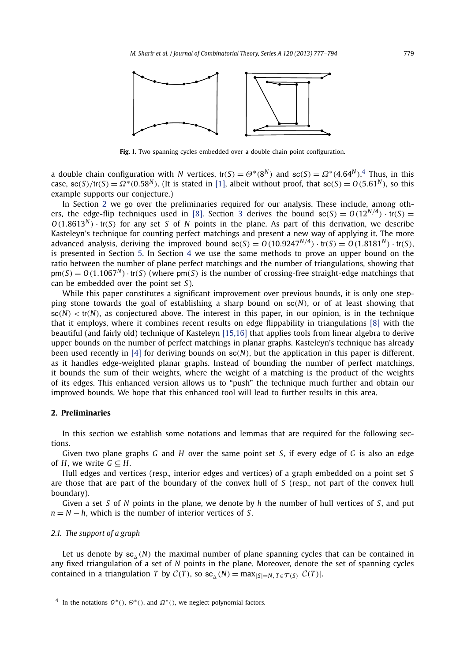<span id="page-2-0"></span>

Fig. 1. Two spanning cycles embedded over a double chain point configuration.

a double chain configuration with *N* vertices, tr(*S*) =  $\Theta^*(8^N)$  and sc(*S*) =  $\Omega^*(4.64^N)$ .<sup>4</sup> Thus, in this case,  $\frac{\epsilon(S)}{tr(S)} = \Omega^*(0.58^N)$ . (It is stated in [\[1\],](#page-16-0) albeit without proof, that  $\frac{\epsilon(S)}{S} = 0.561^N$ ), so this example supports our conjecture.)

In Section 2 we go over the preliminaries required for our analysis. These include, among oth-ers, the edge-flip techniques used in [\[8\].](#page-17-0) Section [3](#page-6-0) derives the bound  $\text{sc}(S) = O(12^{N/4}) \cdot \text{tr}(S) =$  $O(1.8613<sup>N</sup>)$  · tr(*S*) for any set *S* of *N* points in the plane. As part of this derivation, we describe Kasteleyn's technique for counting perfect matchings and present a new way of applying it. The more advanced analysis, deriving the improved bound  $s(s) = O(10.9247^{N/4}) \cdot tr(S) = O(1.8181^N) \cdot tr(S)$ , is presented in Section [5.](#page-9-0) In Section [4](#page-8-0) we use the same methods to prove an upper bound on the ratio between the number of plane perfect matchings and the number of triangulations, showing that  $p m(S) = O(1.1067^N) \cdot tr(S)$  (where  $p m(S)$  is the number of crossing-free straight-edge matchings that can be embedded over the point set *S*).

While this paper constitutes a significant improvement over previous bounds, it is only one stepping stone towards the goal of establishing a sharp bound on sc*(N)*, or of at least showing that  $\mathsf{sc}(N) < \mathsf{tr}(N)$ , as conjectured above. The interest in this paper, in our opinion, is in the technique that it employs, where it combines recent results on edge flippability in triangulations [\[8\]](#page-17-0) with the beautiful (and fairly old) technique of Kasteleyn [\[15,16\]](#page-17-0) that applies tools from linear algebra to derive upper bounds on the number of perfect matchings in planar graphs. Kasteleyn's technique has already been used recently in [\[4\]](#page-16-0) for deriving bounds on sc*(N)*, but the application in this paper is different, as it handles edge-weighted planar graphs. Instead of bounding the number of perfect matchings, it bounds the sum of their weights, where the weight of a matching is the product of the weights of its edges. This enhanced version allows us to "push" the technique much further and obtain our improved bounds. We hope that this enhanced tool will lead to further results in this area.

### **2. Preliminaries**

In this section we establish some notations and lemmas that are required for the following sections.

Given two plane graphs *G* and *H* over the same point set *S*, if every edge of *G* is also an edge of *H*, we write  $G \subseteq H$ .

Hull edges and vertices (resp., interior edges and vertices) of a graph embedded on a point set *S* are those that are part of the boundary of the convex hull of *S* (resp., not part of the convex hull boundary).

Given a set *S* of *N* points in the plane, we denote by *h* the number of hull vertices of *S*, and put *n* = *N* − *h*, which is the number of interior vertices of *S*.

#### *2.1. The support of a graph*

Let us denote by  $sc_{\lambda}(N)$  the maximal number of plane spanning cycles that can be contained in any fixed triangulation of a set of *N* points in the plane. Moreover, denote the set of spanning cycles contained in a triangulation *T* by  $C(T)$ , so sc<sub> $\Lambda$ </sub>  $(N) = \max_{|S|=N} \frac{1}{T} \epsilon T(S) |C(T)|$ .

<sup>4</sup> In the notations *O*∗*()*, *Θ*∗*()*, and *Ω*∗*()*, we neglect polynomial factors.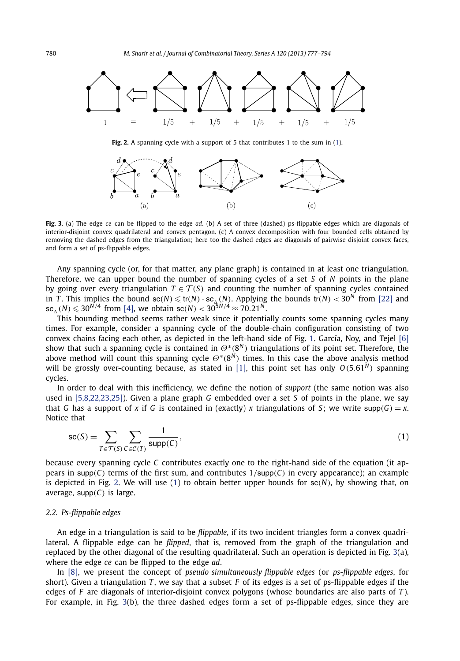<span id="page-3-0"></span>

**Fig. 2.** A spanning cycle with a support of 5 that contributes 1 to the sum in (1).



**Fig. 3.** (a) The edge *ce* can be flipped to the edge *ad*. (b) A set of three (dashed) ps-flippable edges which are diagonals of interior-disjoint convex quadrilateral and convex pentagon. (c) A convex decomposition with four bounded cells obtained by removing the dashed edges from the triangulation; here too the dashed edges are diagonals of pairwise disjoint convex faces, and form a set of ps-flippable edges.

Any spanning cycle (or, for that matter, any plane graph) is contained in at least one triangulation. Therefore, we can upper bound the number of spanning cycles of a set *S* of *N* points in the plane by going over every triangulation  $T \in \mathcal{T}(S)$  and counting the number of spanning cycles contained in *T*. This implies the bound  $\text{sc}(N) \le \text{tr}(N) \cdot \text{sc}_{\Delta}(N)$ . Applying the bounds  $\text{tr}(N) < 30^N$  from [\[22\]](#page-17-0) and  $\mathsf{sc}_{\scriptscriptstyle{\Delta}}(N) \leqslant 30^{N/4}$  from [\[4\],](#page-16-0) we obtain  $\mathsf{sc}(N) < 30^{5N/4} \approx 70.21^N$ .

This bounding method seems rather weak since it potentially counts some spanning cycles many times. For example, consider a spanning cycle of the double-chain configuration consisting of two convex chains facing each other, as depicted in the left-hand side of Fig. [1.](#page-2-0) García, Noy, and Tejel [\[6\]](#page-17-0) show that such a spanning cycle is contained in *Θ*∗*(*8*<sup>N</sup> )* triangulations of its point set. Therefore, the above method will count this spanning cycle *Θ*∗*(*8*<sup>N</sup> )* times. In this case the above analysis method will be grossly over-counting because, as stated in [\[1\],](#page-16-0) this point set has only  $O(5.61<sup>N</sup>)$  spanning cycles.

In order to deal with this inefficiency, we define the notion of *support* (the same notion was also used in [\[5,8,22,23,25\]\)](#page-17-0). Given a plane graph *G* embedded over a set *S* of points in the plane, we say that *G* has a support of *x* if *G* is contained in (exactly) *x* triangulations of *S*; we write supp $(G) = x$ . Notice that

$$
sc(S) = \sum_{T \in \mathcal{T}(S)} \sum_{C \in \mathcal{C}(T)} \frac{1}{\text{supp}(C)},
$$
\n(1)

because every spanning cycle *C* contributes exactly one to the right-hand side of the equation (it appears in supp*(C)* terms of the first sum, and contributes 1*/*supp*(C)* in every appearance); an example is depicted in Fig. 2. We will use  $(1)$  to obtain better upper bounds for  $sc(N)$ , by showing that, on average, supp*(C)* is large.

#### *2.2. Ps-flippable edges*

An edge in a triangulation is said to be *flippable*, if its two incident triangles form a convex quadrilateral. A flippable edge can be *flipped*, that is, removed from the graph of the triangulation and replaced by the other diagonal of the resulting quadrilateral. Such an operation is depicted in Fig. 3(a), where the edge *ce* can be flipped to the edge *ad*.

In [\[8\],](#page-17-0) we present the concept of *pseudo simultaneously flippable edges* (or *ps-flippable edges*, for short). Given a triangulation *T* , we say that a subset *F* of its edges is a set of ps-flippable edges if the edges of *F* are diagonals of interior-disjoint convex polygons (whose boundaries are also parts of *T* ). For example, in Fig. 3(b), the three dashed edges form a set of ps-flippable edges, since they are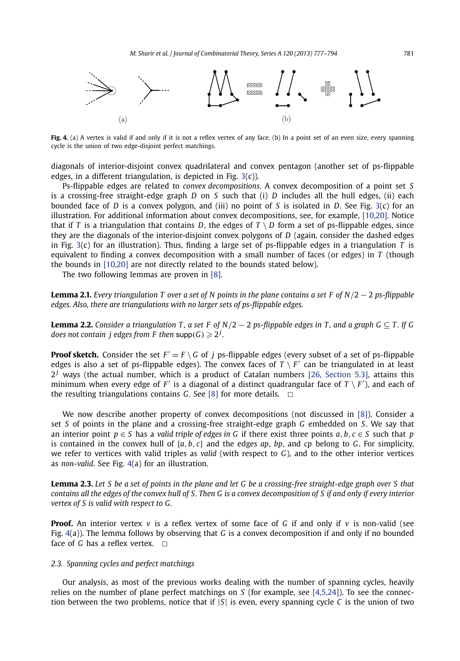<span id="page-4-0"></span>

Fig. 4. (a) A vertex is valid if and only if it is not a reflex vertex of any face. (b) In a point set of an even size, every spanning cycle is the union of two edge-disjoint perfect matchings.

diagonals of interior-disjoint convex quadrilateral and convex pentagon (another set of ps-flippable edges, in a different triangulation, is depicted in Fig.  $3(c)$  $3(c)$ ).

Ps-flippable edges are related to *convex decompositions*. A convex decomposition of a point set *S* is a crossing-free straight-edge graph *D* on *S* such that (i) *D* includes all the hull edges, (ii) each bounded face of *D* is a convex polygon, and (iii) no point of *S* is isolated in *D*. See Fig. [3\(](#page-3-0)c) for an illustration. For additional information about convex decompositions, see, for example, [\[10,20\].](#page-17-0) Notice that if *T* is a triangulation that contains *D*, the edges of  $T \setminus D$  form a set of ps-flippable edges, since they are the diagonals of the interior-disjoint convex polygons of *D* (again, consider the dashed edges in Fig. [3\(](#page-3-0)c) for an illustration). Thus, finding a large set of ps-flippable edges in a triangulation *T* is equivalent to finding a convex decomposition with a small number of faces (or edges) in *T* (though the bounds in [\[10,20\]](#page-17-0) are not directly related to the bounds stated below).

The two following lemmas are proven in [\[8\].](#page-17-0)

**Lemma 2.1.** *Every triangulation T over a set of N points in the plane contains a set F of N/*2 − 2 *ps-flippable edges. Also, there are triangulations with no larger sets of ps-flippable edges.*

**Lemma 2.2.** *Consider a triangulation T, a set F of N*/2  $-$  2 *ps-flippable edges in T, and a graph G*  $\subset$  T. If G does not contain  $j$  edges from F then  $\mathsf{supp}(\mathsf{G})\geqslant 2^j.$ 

**Proof sketch.** Consider the set  $F' = F \setminus G$  of *j* ps-flippable edges (every subset of a set of ps-flippable edges is also a set of ps-flippable edges). The convex faces of  $T \setminus F'$  can be triangulated in at least  $2<sup>j</sup>$  ways (the actual number, which is a product of Catalan numbers [\[26, Section 5.3\],](#page-17-0) attains this minimum when every edge of  $F'$  is a diagonal of a distinct quadrangular face of  $T \setminus F'$ ), and each of the resulting triangulations contains *G*. See [\[8\]](#page-17-0) for more details.  $\Box$ 

We now describe another property of convex decompositions (not discussed in [\[8\]\)](#page-17-0). Consider a set *S* of points in the plane and a crossing-free straight-edge graph *G* embedded on *S*. We say that an interior point  $p \in S$  has a *valid triple of edges in G* if there exist three points  $a, b, c \in S$  such that  $p$ is contained in the convex hull of  ${a, b, c}$  and the edges  ${ap, bp, and cp}$  belong to *G*. For simplicity, we refer to vertices with valid triples as *valid* (with respect to *G*), and to the other interior vertices as *non-valid*. See Fig. 4(a) for an illustration.

**Lemma 2.3.** *Let S be a set of points in the plane and let G be a crossing-free straight-edge graph over S that contains all the edges of the convex hull of S. Then G is a convex decomposition of S if and only if every interior vertex of S is valid with respect to G.*

**Proof.** An interior vertex  $v$  is a reflex vertex of some face of G if and only if  $v$  is non-valid (see Fig. 4(a)). The lemma follows by observing that *G* is a convex decomposition if and only if no bounded face of *G* has a reflex vertex.  $\Box$ 

#### *2.3. Spanning cycles and perfect matchings*

Our analysis, as most of the previous works dealing with the number of spanning cycles, heavily relies on the number of plane perfect matchings on *S* (for example, see [\[4,5,24\]\)](#page-16-0). To see the connection between the two problems, notice that if |*S*| is even, every spanning cycle *C* is the union of two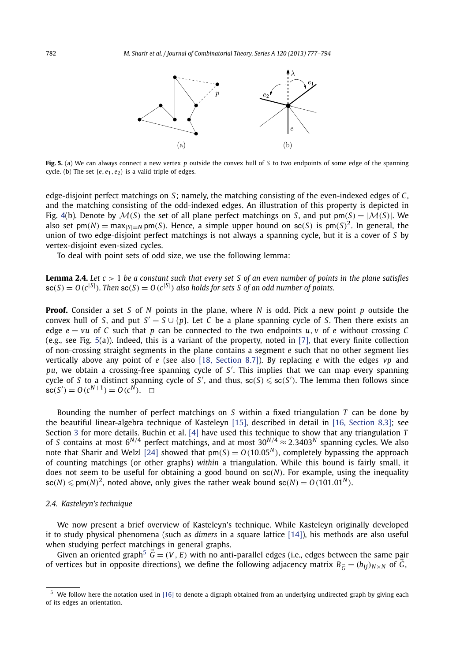<span id="page-5-0"></span>

**Fig. 5.** (a) We can always connect a new vertex *p* outside the convex hull of *S* to two endpoints of some edge of the spanning cycle. (b) The set  $\{e, e_1, e_2\}$  is a valid triple of edges.

edge-disjoint perfect matchings on *S*; namely, the matching consisting of the even-indexed edges of *C*, and the matching consisting of the odd-indexed edges. An illustration of this property is depicted in Fig. [4\(](#page-4-0)b). Denote by  $\mathcal{M}(S)$  the set of all plane perfect matchings on *S*, and put pm $(S) = |\mathcal{M}(S)|$ . We also set  $pm(N) = max_{|S|=N}$  pm(*S*). Hence, a simple upper bound on sc(*S*) is  $pm(S)^2$ . In general, the union of two edge-disjoint perfect matchings is not always a spanning cycle, but it is a cover of *S* by vertex-disjoint even-sized cycles.

To deal with point sets of odd size, we use the following lemma:

**Lemma 2.4.** *Let c >* 1 *be a constant such that every set S of an even number of points in the plane satisfies*  $\mathsf{sc}(S) = O(c^{|S|})$ . Then  $\mathsf{sc}(S) = O(c^{|S|})$  also holds for sets S of an odd number of points.

**Proof.** Consider a set *S* of *N* points in the plane, where *N* is odd. Pick a new point *p* outside the convex hull of *S*, and put  $S' = S \cup \{p\}$ . Let *C* be a plane spanning cycle of *S*. Then there exists an edge  $e = vu$  of C such that p can be connected to the two endpoints  $u, v$  of e without crossing C (e.g., see Fig. 5(a)). Indeed, this is a variant of the property, noted in [\[7\],](#page-17-0) that every finite collection of non-crossing straight segments in the plane contains a segment *e* such that no other segment lies vertically above any point of *e* (see also [\[18, Section 8.7\]\)](#page-17-0). By replacing *e* with the edges *vp* and *pu*, we obtain a crossing-free spanning cycle of *S* . This implies that we can map every spanning cycle of *S* to a distinct spanning cycle of *S'*, and thus,  $\mathsf{sc}(S) \leqslant \mathsf{sc}(S')$ . The lemma then follows since  $\mathsf{sc}(S') = O(c^{N+1}) = O(c^N)$ .  $\Box$ 

Bounding the number of perfect matchings on *S* within a fixed triangulation *T* can be done by the beautiful linear-algebra technique of Kasteleyn [\[15\],](#page-17-0) described in detail in [\[16, Section 8.3\];](#page-17-0) see Section [3](#page-6-0) for more details. Buchin et al. [\[4\]](#page-16-0) have used this technique to show that any triangulation *T* of *S* contains at most  $6^{N/4}$  perfect matchings, and at most  $30^{N/4} \approx 2.3403^N$  spanning cycles. We also note that Sharir and Welzl [\[24\]](#page-17-0) showed that  $pm(S) = O(10.05<sup>N</sup>)$ , completely bypassing the approach of counting matchings (or other graphs) *within* a triangulation. While this bound is fairly small, it does not seem to be useful for obtaining a good bound on sc*(N)*. For example, using the inequality  $\mathsf{sc}(N) \leqslant \mathsf{pm}(N)^2$ , noted above, only gives the rather weak bound  $\mathsf{sc}(N) = O\left(101.01^N\right)$ .

#### *2.4. Kasteleyn's technique*

We now present a brief overview of Kasteleyn's technique. While Kasteleyn originally developed it to study physical phenomena (such as *dimers* in a square lattice [\[14\]\)](#page-17-0), his methods are also useful when studying perfect matchings in general graphs.

Given an oriented graph<sup>5</sup>  $\vec{G} = (V, E)$  with no anti-parallel edges (i.e., edges between the same pair of vertices but in opposite directions), we define the following adjacency matrix  $B_{\vec{G}} = (b_{ij})_{N \times N}$  of  $\vec{G}$ ,

 $5$  We follow here the notation used in [\[16\]](#page-17-0) to denote a digraph obtained from an underlying undirected graph by giving each of its edges an orientation.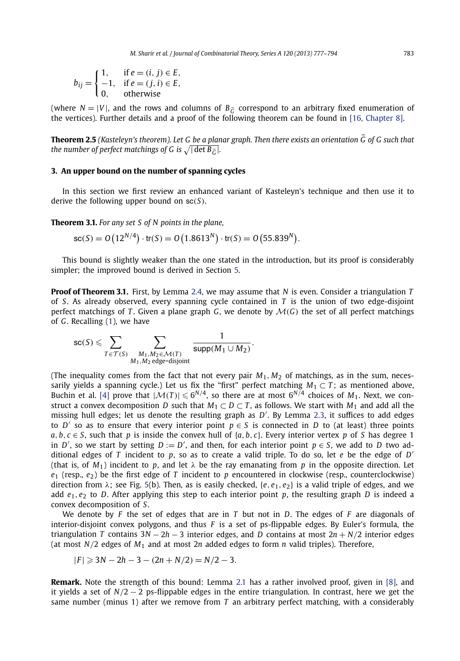<span id="page-6-0"></span>
$$
b_{ij} = \begin{cases} 1, & \text{if } e = (i, j) \in E, \\ -1, & \text{if } e = (j, i) \in E, \\ 0, & \text{otherwise} \end{cases}
$$

(where  $N = |V|$ , and the rows and columns of  $B_{\vec{G}}$  correspond to an arbitrary fixed enumeration of the vertices). Further details and a proof of the following theorem can be found in [\[16, Chapter 8\].](#page-17-0)

**Theorem 2.5** *(Kasteleyn's theorem). Let G be a planar graph. Then there exists an orientation G of G such that* the number of perfect matchings of G is  $\sqrt{|\det B_{\vec{G}}|}.$ 

#### **3. An upper bound on the number of spanning cycles**

In this section we first review an enhanced variant of Kasteleyn's technique and then use it to derive the following upper bound on sc*(S)*.

**Theorem 3.1.** *For any set S of N points in the plane,*

$$
sc(S) = O(12^{N/4}) \cdot tr(S) = O(1.8613^N) \cdot tr(S) = O(55.839^N).
$$

This bound is slightly weaker than the one stated in the introduction, but its proof is considerably simpler; the improved bound is derived in Section [5.](#page-9-0)

**Proof of Theorem 3.1.** First, by Lemma [2.4,](#page-5-0) we may assume that *N* is even. Consider a triangulation *T* of *S*. As already observed, every spanning cycle contained in *T* is the union of two edge-disjoint perfect matchings of *T*. Given a plane graph *G*, we denote by  $\mathcal{M}(G)$  the set of all perfect matchings of *G*. Recalling [\(1\)](#page-3-0), we have

$$
\mathsf{sc}(S) \leqslant \sum_{T \in \mathcal{T}(S)} \sum_{\substack{M_1, M_2 \in \mathcal{M}(T) \\ M_1, M_2 \text{ edge-disjoint}}} \frac{1}{\mathsf{supp}(M_1 \cup M_2)}.
$$

(The inequality comes from the fact that not every pair  $M_1$ ,  $M_2$  of matchings, as in the sum, necessarily yields a spanning cycle.) Let us fix the "first" perfect matching  $M_1 \subset T$ ; as mentioned above, Buchin et al. [\[4\]](#page-16-0) prove that  $|\mathcal{M}(T)| \leq 6^{N/4}$ , so there are at most  $6^{N/4}$  choices of  $M_1$ . Next, we construct a convex decomposition *D* such that  $M_1 \subset D \subset T$ , as follows. We start with  $M_1$  and add all the missing hull edges; let us denote the resulting graph as *D* . By Lemma [2.3,](#page-4-0) it suffices to add edges to *D'* so as to ensure that every interior point  $p \in S$  is connected in *D* to (at least) three points *a*, *b*,  $c \in S$ , such that *p* is inside the convex hull of {*a*, *b*, *c*}. Every interior vertex *p* of *S* has degree 1 in *D'*, so we start by setting  $D := D'$ , and then, for each interior point  $p \in S$ , we add to *D* two additional edges of *T* incident to *p*, so as to create a valid triple. To do so, let *e* be the edge of *D* (that is, of  $M_1$ ) incident to p, and let  $\lambda$  be the ray emanating from p in the opposite direction. Let  $e_1$  (resp.,  $e_2$ ) be the first edge of *T* incident to *p* encountered in clockwise (resp., counterclockwise) direction from  $\lambda$ ; see Fig. [5\(](#page-5-0)b). Then, as is easily checked, {*e*, *e*<sub>1</sub>, *e*<sub>2</sub>} is a valid triple of edges, and we add  $e_1, e_2$  to *D*. After applying this step to each interior point *p*, the resulting graph *D* is indeed a convex decomposition of *S*.

We denote by *F* the set of edges that are in *T* but not in *D*. The edges of *F* are diagonals of interior-disjoint convex polygons, and thus *F* is a set of ps-flippable edges. By Euler's formula, the triangulation *T* contains 3*N* − 2*h* − 3 interior edges, and *D* contains at most 2*n* + *N/*2 interior edges (at most  $N/2$  edges of  $M_1$  and at most  $2n$  added edges to form  $n$  valid triples). Therefore,

$$
|F| \geqslant 3N - 2h - 3 - (2n + N/2) = N/2 - 3.
$$

**Remark.** Note the strength of this bound: Lemma [2.1](#page-4-0) has a rather involved proof, given in [\[8\],](#page-17-0) and it yields a set of  $N/2 - 2$  ps-flippable edges in the entire triangulation. In contrast, here we get the same number (minus 1) after we remove from *T* an arbitrary perfect matching, with a considerably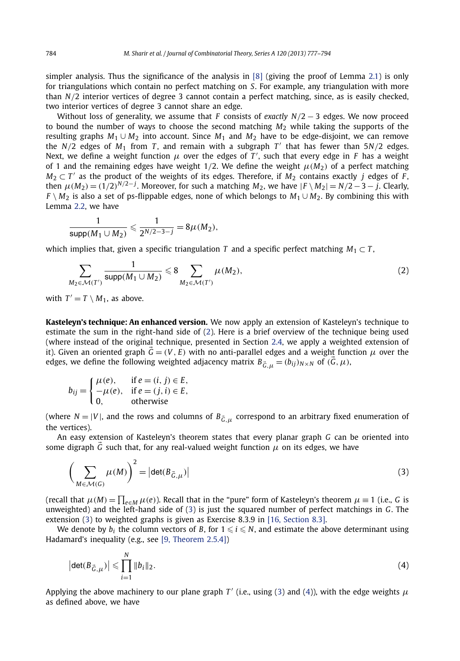<span id="page-7-0"></span>simpler analysis. Thus the significance of the analysis in  $[8]$  (giving the proof of Lemma [2.1\)](#page-4-0) is only for triangulations which contain no perfect matching on *S*. For example, any triangulation with more than *N/*2 interior vertices of degree 3 cannot contain a perfect matching, since, as is easily checked, two interior vertices of degree 3 cannot share an edge.

Without loss of generality, we assume that *F* consists of *exactly N/*2 − 3 edges. We now proceed to bound the number of ways to choose the second matching *M*<sup>2</sup> while taking the supports of the resulting graphs  $M_1 \cup M_2$  into account. Since  $M_1$  and  $M_2$  have to be edge-disjoint, we can remove the  $N/2$  edges of  $M_1$  from  $T$ , and remain with a subgraph  $T'$  that has fewer than  $5N/2$  edges. Next, we define a weight function  $\mu$  over the edges of  $T'$ , such that every edge in  $F$  has a weight of 1 and the remaining edges have weight  $1/2$ . We define the weight  $\mu(M_2)$  of a perfect matching  $M_2 \subset T'$  as the product of the weights of its edges. Therefore, if  $M_2$  contains exactly *j* edges of *F*, then  $\mu(M_2) = (1/2)^{N/2-j}$ . Moreover, for such a matching  $M_2$ , we have  $|F \setminus M_2| = N/2-3-j$ . Clearly, *F* \ *M*<sub>2</sub> is also a set of ps-flippable edges, none of which belongs to *M*<sub>1</sub> ∪ *M*<sub>2</sub>. By combining this with Lemma [2.2,](#page-4-0) we have

$$
\frac{1}{\text{supp}(M_1 \cup M_2)} \leqslant \frac{1}{2^{N/2-3-j}} = 8\mu(M_2),
$$

which implies that, given a specific triangulation *T* and a specific perfect matching  $M_1 \subset T$ ,

$$
\sum_{M_2 \in \mathcal{M}(T')} \frac{1}{\text{supp}(M_1 \cup M_2)} \leq 8 \sum_{M_2 \in \mathcal{M}(T')} \mu(M_2),\tag{2}
$$

with  $T' = T \setminus M_1$ , as above.

**Kasteleyn's technique: An enhanced version.** We now apply an extension of Kasteleyn's technique to estimate the sum in the right-hand side of (2). Here is a brief overview of the technique being used (where instead of the original technique, presented in Section [2.4,](#page-5-0) we apply a weighted extension of it). Given an oriented graph  $\vec{G} = (V,E)$  with no anti-parallel edges and a weight function  $\mu$  over the edges, we define the following weighted adjacency matrix  $B_{\vec{G},\mu} = (b_{ij})_{N\times N}$  of  $(\vec{G},\mu)$ ,

$$
b_{ij} = \begin{cases} \mu(e), & \text{if } e = (i, j) \in E, \\ -\mu(e), & \text{if } e = (j, i) \in E, \\ 0, & \text{otherwise} \end{cases}
$$

(where  $N = |V|$ , and the rows and columns of  $B_{\vec{G},\mu}$  correspond to an arbitrary fixed enumeration of the vertices).

An easy extension of Kasteleyn's theorem states that every planar graph *G* can be oriented into some digraph  $\vec{G}$  such that, for any real-valued weight function  $\mu$  on its edges, we have

$$
\left(\sum_{M \in \mathcal{M}(G)} \mu(M)\right)^2 = \left|\det(B_{\vec{G},\mu})\right| \tag{3}
$$

(recall that  $\mu(M) = \prod_{e \in M} \mu(e)$ ). Recall that in the "pure" form of Kasteleyn's theorem  $\mu \equiv 1$  (i.e., *G* is unweighted) and the left-hand side of (3) is just the squared number of perfect matchings in *G*. The extension (3) to weighted graphs is given as Exercise 8.3.9 in [\[16, Section 8.3\].](#page-17-0)

We denote by  $b_i$  the column vectors of B, for  $1 \leqslant i \leqslant N$ , and estimate the above determinant using Hadamard's inequality (e.g., see [\[9, Theorem 2.5.4\]\)](#page-17-0)

$$
\left| \det(B_{\vec{G},\mu}) \right| \leqslant \prod_{i=1}^{N} \|b_i\|_2.
$$
 (4)

Applying the above machinery to our plane graph *T'* (i.e., using (3) and (4)), with the edge weights  $\mu$ as defined above, we have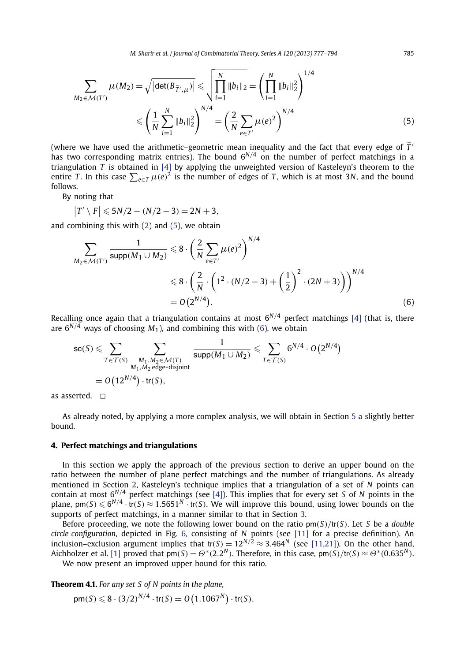<span id="page-8-0"></span>
$$
\sum_{M_2 \in \mathcal{M}(T')} \mu(M_2) = \sqrt{|\det(B_{\vec{T}',\mu})|} \leqslant \sqrt{\prod_{i=1}^N \|b_i\|_2} = \left(\prod_{i=1}^N \|b_i\|_2^2\right)^{1/4}
$$
  
 
$$
\leqslant \left(\frac{1}{N} \sum_{i=1}^N \|b_i\|_2^2\right)^{N/4} = \left(\frac{2}{N} \sum_{e \in T'} \mu(e)^2\right)^{N/4}
$$
 (5)

(where we have used the arithmetic–geometric mean inequality and the fact that every edge of  $\vec T'$ has two corresponding matrix entries). The bound 6*N/*<sup>4</sup> on the number of perfect matchings in a triangulation *T* is obtained in [\[4\]](#page-16-0) by applying the unweighted version of Kasteleyn's theorem to the entire *T*. In this case  $\sum_{e \in T} \mu(e)^2$  is the number of edges of *T*, which is at most 3*N*, and the bound follows.

By noting that

$$
|T' \setminus F| \leqslant 5N/2 - (N/2 - 3) = 2N + 3,
$$

and combining this with [\(2\)](#page-7-0) and (5), we obtain

$$
\sum_{M_2 \in \mathcal{M}(T')} \frac{1}{\text{supp}(M_1 \cup M_2)} \leq 8 \cdot \left(\frac{2}{N} \sum_{e \in T'} \mu(e)^2\right)^{N/4}
$$
  
 
$$
\leq 8 \cdot \left(\frac{2}{N} \cdot \left(1^2 \cdot (N/2 - 3) + \left(\frac{1}{2}\right)^2 \cdot (2N + 3)\right)\right)^{N/4}
$$
  
=  $O(2^{N/4}).$  (6)

Recalling once again that a triangulation contains at most  $6^{N/4}$  perfect matchings [\[4\]](#page-16-0) (that is, there are  $6^{N/4}$  ways of choosing  $M_1$ ), and combining this with (6), we obtain

$$
\mathsf{sc}(S) \leqslant \sum_{T \in \mathcal{T}(S)} \sum_{\substack{M_1, M_2 \in \mathcal{M}(T) \\ M_1, M_2 \text{ edge-disjoint}}} \frac{1}{\text{supp}(M_1 \cup M_2)} \leqslant \sum_{T \in \mathcal{T}(S)} 6^{N/4} \cdot O\left(2^{N/4}\right)
$$
  
=  $O\left(12^{N/4}\right) \cdot \text{tr}(S),$ 

as asserted.  $\Box$ 

As already noted, by applying a more complex analysis, we will obtain in Section [5](#page-9-0) a slightly better bound.

#### **4. Perfect matchings and triangulations**

In this section we apply the approach of the previous section to derive an upper bound on the ratio between the number of plane perfect matchings and the number of triangulations. As already mentioned in Section [2,](#page-2-0) Kasteleyn's technique implies that a triangulation of a set of *N* points can contain at most 6*N/*<sup>4</sup> perfect matchings (see [\[4\]\)](#page-16-0). This implies that for every set *S* of *N* points in the plane, pm $(S) \leqslant 6^{N/4} \cdot \text{tr}(S) \approx 1.5651^N \cdot \text{tr}(S)$ . We will improve this bound, using lower bounds on the supports of perfect matchings, in a manner similar to that in Section [3.](#page-6-0)

Before proceeding, we note the following lower bound on the ratio pm*(S)/*tr*(S)*. Let *S* be a *double circle configuration*, depicted in Fig. [6,](#page-9-0) consisting of *N* points (see [\[11\]](#page-17-0) for a precise definition). An inclusion–exclusion argument implies that  $tr(S) = 12^{N/2} \approx 3.464^N$  (see [\[11,21\]\)](#page-17-0). On the other hand, Aichholzer et al. [\[1\]](#page-16-0) proved that  $pm(S) = \Theta^*(2.2^N)$ . Therefore, in this case,  $pm(S)/tr(S) \approx \Theta^*(0.635^N)$ .

We now present an improved upper bound for this ratio.

**Theorem 4.1.** *For any set S of N points in the plane,*

$$
pm(S) \le 8 \cdot (3/2)^{N/4} \cdot tr(S) = O(1.1067^N) \cdot tr(S).
$$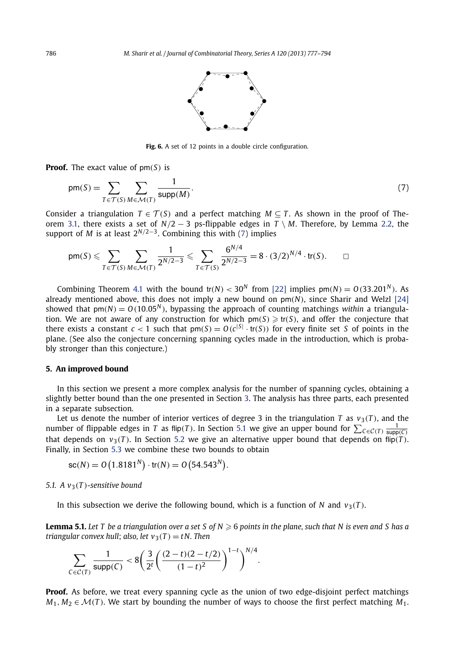

Fig. 6. A set of 12 points in a double circle configuration.

<span id="page-9-0"></span>**Proof.** The exact value of pm*(S)* is

$$
pm(S) = \sum_{T \in \mathcal{T}(S)} \sum_{M \in \mathcal{M}(T)} \frac{1}{\text{supp}(M)}.
$$
\n(7)

Consider a triangulation  $T \in \mathcal{T}(S)$  and a perfect matching  $M \subseteq T$ . As shown in the proof of Theorem [3.1,](#page-6-0) there exists a set of *N/*2 − 3 ps-flippable edges in *T* \ *M*. Therefore, by Lemma [2.2,](#page-4-0) the support of *M* is at least  $2^{N/2-3}$ . Combining this with (7) implies

$$
pm(S) \leq \sum_{T \in \mathcal{T}(S)} \sum_{M \in \mathcal{M}(T)} \frac{1}{2^{N/2 - 3}} \leq \sum_{T \in \mathcal{T}(S)} \frac{6^{N/4}}{2^{N/2 - 3}} = 8 \cdot (3/2)^{N/4} \cdot tr(S).
$$

Combining Theorem [4.1](#page-8-0) with the bound  $tr(N) < 30<sup>N</sup>$  from [\[22\]](#page-17-0) implies  $pm(N) = O(33.201<sup>N</sup>)$ . As already mentioned above, this does not imply a new bound on  $pm(N)$ , since Sharir and Welzl  $[24]$ showed that  $pm(N) = O(10.05^N)$ , bypassing the approach of counting matchings *within* a triangulation. We are not aware of any construction for which  $pm(S) \geq t(S)$ , and offer the conjecture that there exists a constant  $c < 1$  such that  $pm(S) = O(c^{|S|} \cdot tr(S))$  for every finite set *S* of points in the plane. (See also the conjecture concerning spanning cycles made in the introduction, which is probably stronger than this conjecture.)

#### **5. An improved bound**

In this section we present a more complex analysis for the number of spanning cycles, obtaining a slightly better bound than the one presented in Section [3.](#page-6-0) The analysis has three parts, each presented in a separate subsection.

Let us denote the number of interior vertices of degree 3 in the triangulation *T* as  $v_3(T)$ , and the number of flippable edges in *T* as flip(*T*). In Section 5.1 we give an upper bound for  $\sum_{C \in C(T)} \frac{1}{\text{supp}(C)}$ that depends on  $v_3(T)$ . In Section [5.2](#page-11-0) we give an alternative upper bound that depends on flip(T). Finally, in Section [5.3](#page-15-0) we combine these two bounds to obtain

$$
sc(N) = O(1.8181N) \cdot tr(N) = O(54.543N).
$$

*5.1.* A  $v_3(T)$ -sensitive bound

In this subsection we derive the following bound, which is a function of *N* and  $v_3(T)$ .

**Lemma 5.1.** Let T be a triangulation over a set S of  $N \ge 6$  points in the plane, such that N is even and S has a *triangular convex hull; also, let*  $v_3(T) = tN$ . Then

$$
\sum_{C \in \mathcal{C}(T)} \frac{1}{\text{supp}(C)} < 8 \left( \frac{3}{2^t} \left( \frac{(2-t)(2-t/2)}{(1-t)^2} \right)^{1-t} \right)^{N/4}.
$$

**Proof.** As before, we treat every spanning cycle as the union of two edge-disjoint perfect matchings *M*<sub>1</sub>*, M*<sub>2</sub> ∈ *M*(*T*)*.* We start by bounding the number of ways to choose the first perfect matching *M*<sub>1</sub>*.*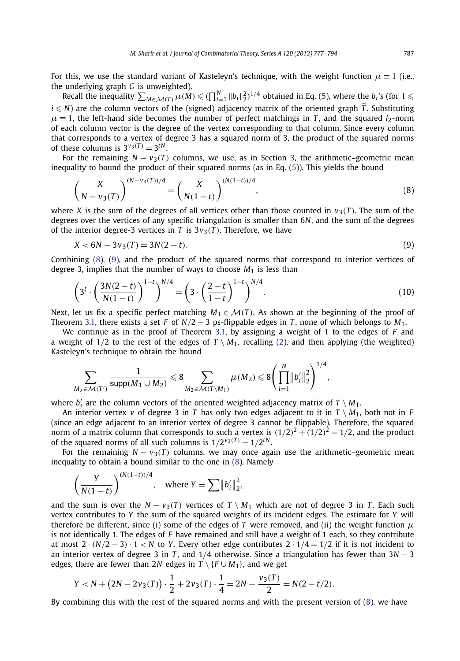<span id="page-10-0"></span>For this, we use the standard variant of Kasteleyn's technique, with the weight function  $\mu \equiv 1$  (i.e., the underlying graph *G* is unweighted).

Recall the inequality  $\sum_{M \in \mathcal{M}(T)} \mu(M) \leq (\prod_{i=1}^{N} ||b_i||_2^2)^{1/4}$  obtained in Eq. [\(5\)](#page-8-0), where the *b<sub>i</sub>*'s (for  $1 \leq$  $i\leqslant N$ ) are the column vectors of the (signed) adjacency matrix of the oriented graph  $\vec T.$  Substituting  $\mu \equiv 1$ , the left-hand side becomes the number of perfect matchings in *T*, and the squared *l*<sub>2</sub>-norm of each column vector is the degree of the vertex corresponding to that column. Since every column that corresponds to a vertex of degree 3 has a squared norm of 3, the product of the squared norms of these columns is  $3^{\nu_3(T)} = 3^{\nu_1}$ .

For the remaining  $N - v_3(T)$  columns, we use, as in Section [3,](#page-6-0) the arithmetic–geometric mean inequality to bound the product of their squared norms (as in Eq. [\(5\)](#page-8-0)). This yields the bound

$$
\left(\frac{X}{N - \nu_3(T)}\right)^{(N - \nu_3(T))/4} = \left(\frac{X}{N(1 - t)}\right)^{(N(1 - t))/4},\tag{8}
$$

where *X* is the sum of the degrees of all vertices other than those counted in  $v_3(T)$ . The sum of the degrees over the vertices of any specific triangulation is smaller than 6*N*, and the sum of the degrees of the interior degree-3 vertices in *T* is  $3v_3(T)$ . Therefore, we have

$$
X < 6N - 3v_3(T) = 3N(2 - t). \tag{9}
$$

Combining (8), (9), and the product of the squared norms that correspond to interior vertices of degree 3, implies that the number of ways to choose *M*<sup>1</sup> is less than

$$
\left(3^t \cdot \left(\frac{3N(2-t)}{N(1-t)}\right)^{1-t}\right)^{N/4} = \left(3 \cdot \left(\frac{2-t}{1-t}\right)^{1-t}\right)^{N/4}.
$$
\n(10)

Next, let us fix a specific perfect matching  $M_1 \in \mathcal{M}(T)$ . As shown at the beginning of the proof of Theorem [3.1,](#page-6-0) there exists a set *F* of  $N/2 - 3$  ps-flippable edges in *T*, none of which belongs to  $M_1$ .

We continue as in the proof of Theorem [3.1,](#page-6-0) by assigning a weight of 1 to the edges of *F* and a weight of  $1/2$  to the rest of the edges of  $T \setminus M_1$ , recalling [\(2\)](#page-7-0), and then applying (the weighted) Kasteleyn's technique to obtain the bound

$$
\sum_{M_2 \in \mathcal{M}(T')} \frac{1}{\text{supp}(M_1 \cup M_2)} \leq 8 \sum_{M_2 \in \mathcal{M}(T \setminus M_1)} \mu(M_2) \leq 8 \left( \prod_{i=1}^N \|b_i'\|_2^2 \right)^{1/4},
$$

where  $b'_i$  are the column vectors of the oriented weighted adjacency matrix of  $T \setminus M_1$ .

An interior vertex *v* of degree 3 in *T* has only two edges adjacent to it in  $T \setminus M_1$ , both not in *F* (since an edge adjacent to an interior vertex of degree 3 cannot be flippable). Therefore, the squared norm of a matrix column that corresponds to such a vertex is  $(1/2)^2 + (1/2)^2 = 1/2$ , and the product of the squared norms of all such columns is  $1/2^{\nu_3(T)} = 1/2^{tN}$ .

For the remaining  $N - v_3(T)$  columns, we may once again use the arithmetic–geometric mean inequality to obtain a bound similar to the one in (8). Namely

$$
\left(\frac{Y}{N(1-t)}\right)^{(N(1-t))/4}, \text{ where } Y = \sum ||b'_i||_2^2,
$$

and the sum is over the  $N - v_3(T)$  vertices of  $T \setminus M_1$  which are not of degree 3 in *T*. Each such vertex contributes to *Y* the sum of the squared weights of its incident edges. The estimate for *Y* will therefore be different, since (i) some of the edges of *T* were removed, and (ii) the weight function  $\mu$ is not identically 1. The edges of *F* have remained and still have a weight of 1 each, so they contribute at most  $2 \cdot (N/2 - 3) \cdot 1 < N$  to *Y*. Every other edge contributes  $2 \cdot 1/4 = 1/2$  if it is not incident to an interior vertex of degree 3 in *T* , and 1*/*4 otherwise. Since a triangulation has fewer than 3*N* − 3 edges, there are fewer than 2*N* edges in  $T \setminus \{F \cup M_1\}$ , and we get

$$
Y < N + (2N - 2v_3(T)) \cdot \frac{1}{2} + 2v_3(T) \cdot \frac{1}{4} = 2N - \frac{v_3(T)}{2} = N(2 - t/2).
$$

By combining this with the rest of the squared norms and with the present version of (8), we have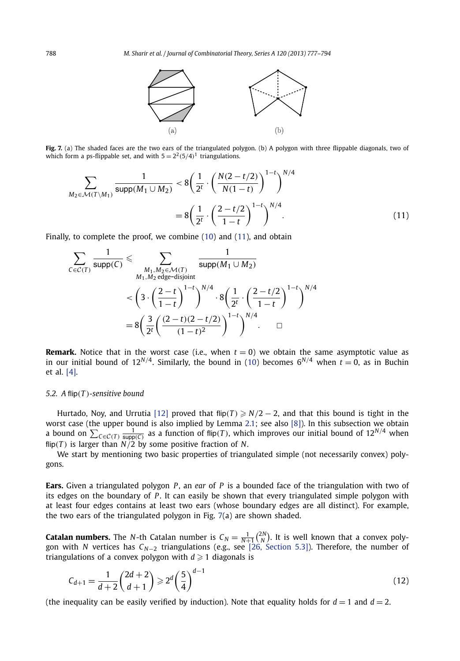

<span id="page-11-0"></span>**Fig. 7.** (a) The shaded faces are the two ears of the triangulated polygon. (b) A polygon with three flippable diagonals, two of which form a ps-flippable set, and with  $5 = 2^2(5/4)^1$  triangulations.

$$
\sum_{M_2 \in \mathcal{M}(T \setminus M_1)} \frac{1}{\text{supp}(M_1 \cup M_2)} < 8 \left( \frac{1}{2^t} \cdot \left( \frac{N(2 - t/2)}{N(1 - t)} \right)^{1 - t} \right)^{N/4} \\
= 8 \left( \frac{1}{2^t} \cdot \left( \frac{2 - t/2}{1 - t} \right)^{1 - t} \right)^{N/4}.\n\tag{11}
$$

Finally, to complete the proof, we combine [\(10\)](#page-10-0) and (11), and obtain

$$
\sum_{C \in \mathcal{C}(T)} \frac{1}{\text{supp}(C)} \leq \sum_{\substack{M_1, M_2 \in \mathcal{M}(T) \\ M_1, M_2 \text{ edge-disjoint}}} \frac{1}{\text{supp}(M_1 \cup M_2)} \\
\leq \left(3 \cdot \left(\frac{2-t}{1-t}\right)^{1-t}\right)^{N/4} \cdot 8 \left(\frac{1}{2^t} \cdot \left(\frac{2-t/2}{1-t}\right)^{1-t}\right)^{N/4} \\
= 8 \left(\frac{3}{2^t} \left(\frac{(2-t)(2-t/2)}{(1-t)^2}\right)^{1-t}\right)^{N/4} \cdot \square
$$

**Remark.** Notice that in the worst case (i.e., when  $t = 0$ ) we obtain the same asymptotic value as in our initial bound of  $12^{N/4}$ . Similarly, the bound in [\(10\)](#page-10-0) becomes  $6^{N/4}$  when  $t = 0$ , as in Buchin et al. [\[4\].](#page-16-0)

#### *5.2. A* flip*(T )-sensitive bound*

Hurtado, Noy, and Urrutia [\[12\]](#page-17-0) proved that flip(*T*)  $\geq N/2 - 2$ , and that this bound is tight in the worst case (the upper bound is also implied by Lemma [2.1;](#page-4-0) see also [\[8\]\)](#page-17-0). In this subsection we obtain a bound on  $\sum_{C \in \mathcal{C}(T)} \frac{1}{\text{supp}(C)}$  as a function of flip(*T*), which improves our initial bound of  $12^{N/4}$  when flip( $T$ ) is larger than  $N/2$  by some positive fraction of  $N$ .

We start by mentioning two basic properties of triangulated simple (not necessarily convex) polygons.

**Ears.** Given a triangulated polygon *P* , an *ear* of *P* is a bounded face of the triangulation with two of its edges on the boundary of *P*. It can easily be shown that every triangulated simple polygon with at least four edges contains at least two ears (whose boundary edges are all distinct). For example, the two ears of the triangulated polygon in Fig. 7(a) are shown shaded.

**Catalan numbers.** The *N*-th Catalan number is  $C_N = \frac{1}{N+1} {2N \choose N}$ . It is well known that a convex polygon with *N* vertices has *CN*−<sup>2</sup> triangulations (e.g., see [\[26, Section 5.3\]\)](#page-17-0). Therefore, the number of triangulations of a convex polygon with  $d \geq 1$  diagonals is

$$
C_{d+1} = \frac{1}{d+2} \binom{2d+2}{d+1} \geqslant 2^d \left(\frac{5}{4}\right)^{d-1} \tag{12}
$$

(the inequality can be easily verified by induction). Note that equality holds for  $d = 1$  and  $d = 2$ .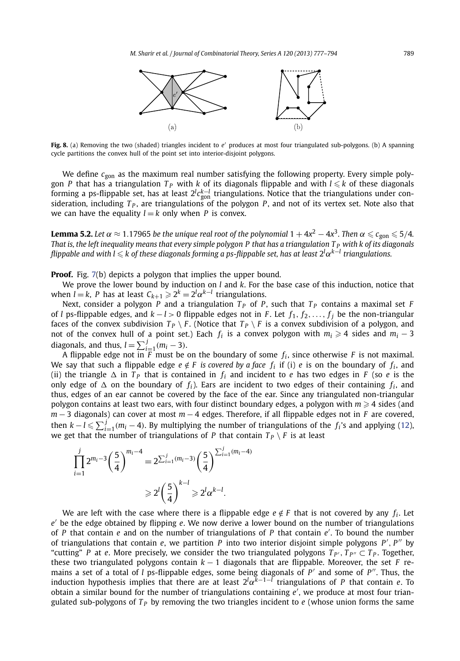<span id="page-12-0"></span>

**Fig. 8.** (a) Removing the two (shaded) triangles incident to e' produces at most four triangulated sub-polygons. (b) A spanning cycle partitions the convex hull of the point set into interior-disjoint polygons.

We define  $c_{\text{gon}}$  as the maximum real number satisfying the following property. Every simple polygon *P* that has a triangulation  $T_P$  with *k* of its diagonals flippable and with  $l \leqslant k$  of these diagonals forming a ps-flippable set, has at least 2*<sup>l</sup> ck*−*<sup>l</sup>* gon triangulations. Notice that the triangulations under consideration, including  $T_p$ , are triangulations of the polygon *P*, and not of its vertex set. Note also that we can have the equality  $l = k$  only when *P* is convex.

 $\bf{l}$ emma 5.2. Let  $\alpha \approx$  1.17965 be the unique real root of the polynomial 1  $+$  4x $^2$   $-$  4x $^3$ . Then  $\alpha \leqslant c_{\rm gon} \leqslant$  5/4. *That is, the left inequality means that every simple polygon P that has a triangulation T <sup>P</sup> with k of its diagonals flippable and with l ≤ k of these diagonals forming a ps-flippable set, has at least 2<sup>l</sup>α<sup>k−l</sup> triangulations.* 

**Proof.** Fig. [7\(](#page-11-0)b) depicts a polygon that implies the upper bound.

We prove the lower bound by induction on *l* and *k*. For the base case of this induction, notice that when *l* = *k*, *P* has at least  $C_{k+1} \geqslant 2^k = 2^l \alpha^{k-l}$  triangulations.

Next, consider a polygon *P* and a triangulation  $T<sub>P</sub>$  of *P*, such that  $T<sub>P</sub>$  contains a maximal set *F* of *l* ps-flippable edges, and  $k - l > 0$  flippable edges not in *F*. Let  $f_1, f_2, \ldots, f_j$  be the non-triangular faces of the convex subdivision  $T_P \setminus F$ . (Notice that  $T_P \setminus F$  is a convex subdivision of a polygon, and not of the convex hull of a point set.) Each  $f_i$  is a convex polygon with  $m_i \geq 4$  sides and  $m_i - 3$ diagonals, and thus,  $l = \sum_{i=1}^{j} (m_i - 3)$ .

A flippable edge not in *F* must be on the boundary of some *fi* , since otherwise *F* is not maximal. We say that such a flippable edge  $e \notin F$  is covered by a face  $f_i$  if (i)  $e$  is on the boundary of  $f_i$ , and (ii) the triangle  $\Delta$  in  $T_P$  that is contained in  $f_i$  and incident to *e* has two edges in *F* (so *e* is the only edge of  $\Delta$  on the boundary of  $f_i$ ). Ears are incident to two edges of their containing  $f_i$ , and thus, edges of an ear cannot be covered by the face of the ear. Since any triangulated non-triangular polygon contains at least two ears, with four distinct boundary edges, a polygon with  $m \geq 4$  sides (and *m* − 3 diagonals) can cover at most *m* − 4 edges. Therefore, if all flippable edges not in *F* are covered, then  $k - l \leq \sum_{i=1}^{j} (m_i - 4)$ . By multiplying the number of triangulations of the  $f_i$ 's and applying [\(12\)](#page-11-0), we get that the number of triangulations of *P* that contain  $T_p \setminus F$  is at least

$$
\prod_{i=1}^{j} 2^{m_i - 3} \left(\frac{5}{4}\right)^{m_i - 4} = 2^{\sum_{i=1}^{j} (m_i - 3)} \left(\frac{5}{4}\right)^{\sum_{i=1}^{j} (m_i - 4)}
$$

$$
\geq 2^l \left(\frac{5}{4}\right)^{k-l} \geq 2^l \alpha^{k-l}.
$$

We are left with the case where there is a flippable edge  $e \notin F$  that is not covered by any  $f_i$ . Let *e* be the edge obtained by flipping *e*. We now derive a lower bound on the number of triangulations of *P* that contain *e* and on the number of triangulations of *P* that contain *e* . To bound the number of triangulations that contain *e*, we partition *P* into two interior disjoint simple polygons *P , P* by "cutting" *P* at *e*. More precisely, we consider the two triangulated polygons  $T_{P'}$ ,  $T_{P''} \subset T_P$ . Together, these two triangulated polygons contain  $k - 1$  diagonals that are flippable. Moreover, the set *F* remains a set of a total of *l* ps-flippable edges, some being diagonals of *P'* and some of *P''*. Thus, the induction hypothesis implies that there are at least 2*<sup>l</sup> α<sup>k</sup>*−1−*<sup>l</sup>* triangulations of *P* that contain *e*. To obtain a similar bound for the number of triangulations containing *e* , we produce at most four triangulated sub-polygons of  $T<sub>P</sub>$  by removing the two triangles incident to  $e$  (whose union forms the same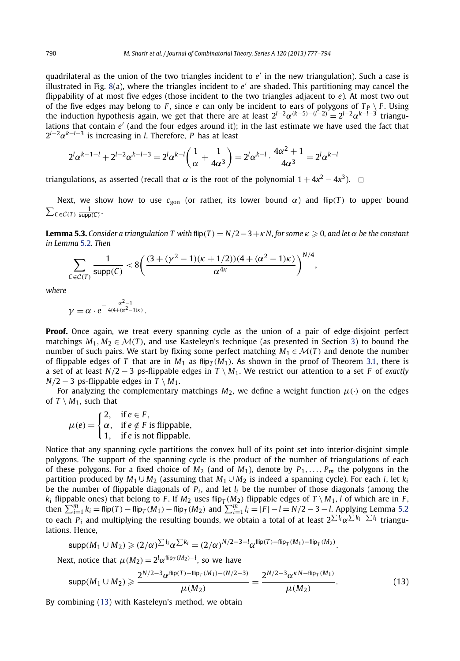<span id="page-13-0"></span>quadrilateral as the union of the two triangles incident to *e'* in the new triangulation). Such a case is illustrated in Fig.  $8(a)$  $8(a)$ , where the triangles incident to  $e'$  are shaded. This partitioning may cancel the flippability of at most five edges (those incident to the two triangles adjacent to *e*). At most two out of the five edges may belong to *F*, since *e* can only be incident to ears of polygons of  $T_P \setminus F$ . Using the induction hypothesis again, we get that there are at least  $2^{l-2}\alpha^{(k-5)-(l-2)} = 2^{l-2}\alpha^{k-l-3}$  triangulations that contain *e'* (and the four edges around it); in the last estimate we have used the fact that  $2^{l-2}\alpha^{k-l-3}$  is increasing in *l*. Therefore, *P* has at least

$$
2^l \alpha^{k-l-l} + 2^{l-2} \alpha^{k-l-3} = 2^l \alpha^{k-l} \left( \frac{1}{\alpha} + \frac{1}{4\alpha^3} \right) = 2^l \alpha^{k-l} \cdot \frac{4\alpha^2 + 1}{4\alpha^3} = 2^l \alpha^{k-l}
$$

triangulations, as asserted (recall that  $\alpha$  is the root of the polynomial  $1 + 4x^2 - 4x^3$ ).  $\Box$ 

Next, we show how to use  $c_{\text{gon}}$  (or rather, its lower bound  $\alpha$ ) and flip(*T*) to upper bound  $\sum_{C \in \mathcal{C}(T)} \frac{1}{\text{supp}(C)}$ 

**Lemma 5.3.** Consider a triangulation T with flip(T) =  $N/2-3+\kappa N$ , for some  $\kappa \ge 0$ , and let  $\alpha$  be the constant *in Lemma* [5.2](#page-12-0)*. Then*

$$
\sum_{C \in \mathcal{C}(T)} \frac{1}{\text{supp}(C)} < 8 \bigg( \frac{(3 + (\gamma^2 - 1)(\kappa + 1/2))(4 + (\alpha^2 - 1)\kappa)}{\alpha^{4\kappa}} \bigg)^{N/4},
$$

*where*

$$
\gamma = \alpha \cdot e^{-\frac{\alpha^2 - 1}{4(4 + (\alpha^2 - 1)\kappa)}}.
$$

**Proof.** Once again, we treat every spanning cycle as the union of a pair of edge-disjoint perfect matchings  $M_1, M_2 \in \mathcal{M}(T)$ , and use Kasteleyn's technique (as presented in Section [3\)](#page-6-0) to bound the number of such pairs. We start by fixing some perfect matching  $M_1 \in \mathcal{M}(T)$  and denote the number of flippable edges of *T* that are in  $M_1$  as flip<sub>*T*</sub>( $M_1$ ). As shown in the proof of Theorem [3.1,](#page-6-0) there is a set of at least *N/*2 − 3 ps-flippable edges in *T* \ *M*1. We restrict our attention to a set *F* of *exactly*  $N/2 - 3$  ps-flippable edges in  $T \setminus M_1$ .

For analyzing the complementary matchings  $M_2$ , we define a weight function  $\mu(\cdot)$  on the edges of  $T \setminus M_1$ , such that

$$
\mu(e) = \begin{cases} 2, & \text{if } e \in F, \\ \alpha, & \text{if } e \notin F \text{ is flippedble,} \\ 1, & \text{if } e \text{ is not flippedble.} \end{cases}
$$

Notice that any spanning cycle partitions the convex hull of its point set into interior-disjoint simple polygons. The support of the spanning cycle is the product of the number of triangulations of each of these polygons. For a fixed choice of  $M_2$  (and of  $M_1$ ), denote by  $P_1, \ldots, P_m$  the polygons in the partition produced by  $M_1 \cup M_2$  (assuming that  $M_1 \cup M_2$  is indeed a spanning cycle). For each *i*, let  $k_i$ be the number of flippable diagonals of *Pi* , and let *li* be the number of those diagonals (among the *k<sub>i</sub>* flippable ones) that belong to *F*. If  $M_2$  uses flip<sub>*T*</sub>  $(M_2)$  flippable edges of  $T \setminus M_1$ , *l* of which are in *F*, then  $\sum_{i=1}^{m} k_i = \text{flip}(T) - \text{flip}_T(M_1) - \text{flip}_T(M_2)$  and  $\sum_{i=1}^{m} l_i = |F| - l = N/2 - 3 - l$ . Applying Lemma [5.2](#page-12-0) to each *Pi* and multiplying the resulting bounds, we obtain a total of at least 2 *liα ki*−*li* triangulations. Hence,

$$
\text{supp}(M_1 \cup M_2) \geqslant (2/\alpha)^{\sum l_i} \alpha^{\sum k_i} = (2/\alpha)^{N/2 - 3 - l} \alpha^{\text{flip}(T) - \text{flip}_T(M_1) - \text{flip}_T(M_2)}.
$$

Next, notice that  $\mu(M_2) = 2^l \alpha^{flip_T(M_2) - l}$ , so we have

$$
\text{supp}(M_1 \cup M_2) \geqslant \frac{2^{N/2 - 3} \alpha^{\text{flip}(T) - \text{flip}_T(M_1) - (N/2 - 3)}}{\mu(M_2)} = \frac{2^{N/2 - 3} \alpha^{\kappa N - \text{flip}_T(M_1)}}{\mu(M_2)}.
$$
\n(13)

By combining (13) with Kasteleyn's method, we obtain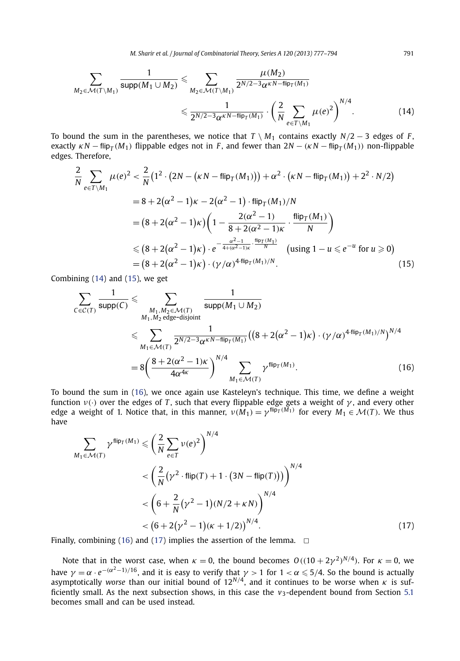$$
\sum_{M_2 \in \mathcal{M}(T \setminus M_1)} \frac{1}{\text{supp}(M_1 \cup M_2)} \leq \sum_{M_2 \in \mathcal{M}(T \setminus M_1)} \frac{\mu(M_2)}{2^{N/2 - 3} \alpha^{\kappa N - \text{flip}_T(M_1)}} \leq \frac{1}{2^{N/2 - 3} \alpha^{\kappa N - \text{flip}_T(M_1)}} \cdot \left(\frac{2}{N} \sum_{e \in T \setminus M_1} \mu(e)^2\right)^{N/4}.
$$
\n(14)

To bound the sum in the parentheses, we notice that  $T \setminus M_1$  contains exactly  $N/2 - 3$  edges of *F*, exactly  $\kappa N$  – flip<sub>*T*</sub> ( $M_1$ )</sub> flippable edges not in *F*, and fewer than  $2N - (\kappa N - \text{flip}_T(M_1))$  non-flippable edges. Therefore,

$$
\frac{2}{N} \sum_{e \in T \setminus M_1} \mu(e)^2 < \frac{2}{N} \left( 1^2 \cdot \left( 2N - (\kappa N - \text{flip}_T(M_1)) \right) + \alpha^2 \cdot (\kappa N - \text{flip}_T(M_1)) + 2^2 \cdot N/2 \right)
$$
\n
$$
= 8 + 2(\alpha^2 - 1)\kappa - 2(\alpha^2 - 1) \cdot \text{flip}_T(M_1)/N
$$
\n
$$
= \left( 8 + 2(\alpha^2 - 1)\kappa \right) \left( 1 - \frac{2(\alpha^2 - 1)}{8 + 2(\alpha^2 - 1)\kappa} \cdot \frac{\text{flip}_T(M_1)}{N} \right)
$$
\n
$$
\leq \left( 8 + 2(\alpha^2 - 1)\kappa \right) \cdot e^{-\frac{\alpha^2 - 1}{4 + (\alpha^2 - 1)\kappa} \cdot \frac{\text{flip}_T(M_1)}{N}} \quad \text{(using } 1 - u \leq e^{-u} \text{ for } u \geq 0)
$$
\n
$$
= \left( 8 + 2(\alpha^2 - 1)\kappa \right) \cdot (\gamma/\alpha)^{4 \cdot \text{flip}_T(M_1)/N} . \tag{15}
$$

Combining (14) and (15), we get

$$
\sum_{C \in \mathcal{C}(T)} \frac{1}{\text{supp}(C)} \leq \sum_{\substack{M_1, M_2 \in \mathcal{M}(T) \\ M_1 \in \mathcal{M}(T)}} \frac{1}{\text{supp}(M_1 \cup M_2)}
$$
\n
$$
\leq \sum_{\substack{M_1 \in \mathcal{M}(T) \\ M_1 \in \mathcal{M}(T)}} \frac{1}{2^{N/2 - 3} \alpha^{kN - \text{flip}_T(M_1)}} \left( \left( 8 + 2(\alpha^2 - 1)\kappa \right) \cdot (\gamma/\alpha)^{4 \cdot \text{flip}_T(M_1)/N} \right)^{N/4}
$$
\n
$$
= 8 \left( \frac{8 + 2(\alpha^2 - 1)\kappa}{4\alpha^{4\kappa}} \right)^{N/4} \sum_{M_1 \in \mathcal{M}(T)} \gamma^{\text{flip}_T(M_1)}.
$$
\n(16)

To bound the sum in (16), we once again use Kasteleyn's technique. This time, we define a weight function  $v(\cdot)$  over the edges of *T*, such that every flippable edge gets a weight of  $\gamma$ , and every other edge a weight of 1. Notice that, in this manner,  $v(M_1) = \gamma^{\text{flip}_T(M_1)}$  for every  $M_1 \in \mathcal{M}(T)$ . We thus have

$$
\sum_{M_1 \in \mathcal{M}(T)} \gamma^{\text{flip}_T(M_1)} \leq \left(\frac{2}{N} \sum_{e \in T} \nu(e)^2\right)^{N/4}
$$
  

$$
< \left(\frac{2}{N} (\gamma^2 \cdot \text{flip}(T) + 1 \cdot (3N - \text{flip}(T)))\right)^{N/4}
$$
  

$$
< \left(6 + \frac{2}{N} (\gamma^2 - 1)(N/2 + \kappa N)\right)^{N/4}
$$
  

$$
< \left(6 + 2(\gamma^2 - 1)(\kappa + 1/2)\right)^{N/4}.
$$
 (17)

Finally, combining (16) and (17) implies the assertion of the lemma.  $\Box$ 

Note that in the worst case, when  $\kappa = 0$ , the bound becomes  $O((10 + 2\gamma^2)^{N/4})$ . For  $\kappa = 0$ , we have  $\gamma=\alpha\cdot e^{-(\alpha^2-1)/16},$  and it is easy to verify that  $\gamma>1$  for  $1<\alpha\leqslant 5/4.$  So the bound is actually asymptotically *worse* than our initial bound of 12*N/*4, and it continues to be worse when *κ* is sufficiently small. As the next subsection shows, in this case the  $v_3$ -dependent bound from Section [5.1](#page-9-0) becomes small and can be used instead.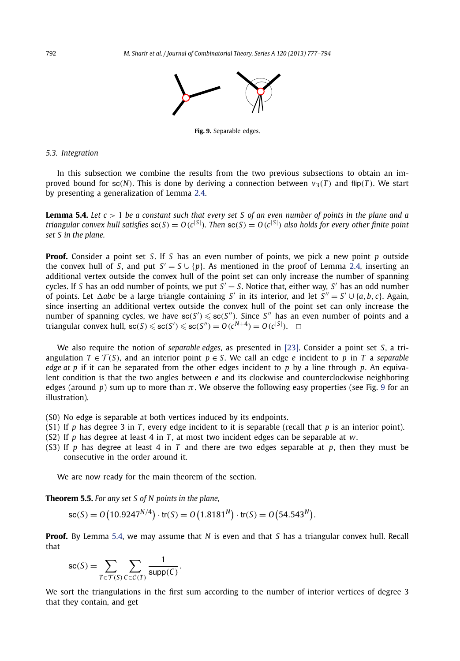

**Fig. 9.** Separable edges.

#### <span id="page-15-0"></span>*5.3. Integration*

In this subsection we combine the results from the two previous subsections to obtain an improved bound for sc(N). This is done by deriving a connection between  $v_3(T)$  and flip(T). We start by presenting a generalization of Lemma [2.4.](#page-5-0)

**Lemma 5.4.** *Let c >* 1 *be a constant such that every set S of an even number of points in the plane and a* triangular convex hull satisfies  $sc(S) = O(c^{|S|})$ . Then  $sc(S) = O(c^{|S|})$  also holds for every other finite point *set S in the plane.*

**Proof.** Consider a point set *S*. If *S* has an even number of points, we pick a new point *p* outside the convex hull of *S*, and put  $S' = S \cup \{p\}$ . As mentioned in the proof of Lemma [2.4,](#page-5-0) inserting an additional vertex outside the convex hull of the point set can only increase the number of spanning cycles. If *S* has an odd number of points, we put  $S' = S$ . Notice that, either way,  $S'$  has an odd number of points. Let  $\triangle$ *abc* be a large triangle containing *S'* in its interior, and let  $S'' = S' \cup \{a, b, c\}$ . Again, since inserting an additional vertex outside the convex hull of the point set can only increase the number of spanning cycles, we have  $\mathsf{sc}(S') \leqslant \mathsf{sc}(S'')$ . Since  $S''$  has an even number of points and a triangular convex hull,  $\operatorname{sc}(S) \leqslant \operatorname{sc}(S') \leqslant \operatorname{sc}(S'') = O(c^{N+4}) = O(c^{|S|})$ .  $\Box$ 

We also require the notion of *separable edges*, as presented in [\[23\].](#page-17-0) Consider a point set *S*, a triangulation  $T \in \mathcal{T}(S)$ , and an interior point  $p \in S$ . We call an edge *e* incident to *p* in *T* a *separable edge at p* if it can be separated from the other edges incident to *p* by a line through *p*. An equivalent condition is that the two angles between *e* and its clockwise and counterclockwise neighboring edges (around *p*) sum up to more than *π*. We observe the following easy properties (see Fig. 9 for an illustration).

- (S0) No edge is separable at both vertices induced by its endpoints.
- (S1) If *p* has degree 3 in *T* , every edge incident to it is separable (recall that *p* is an interior point).
- (S2) If *p* has degree at least 4 in *T* , at most two incident edges can be separable at *w*.
- (S3) If *p* has degree at least 4 in *T* and there are two edges separable at *p*, then they must be consecutive in the order around it.

We are now ready for the main theorem of the section.

**Theorem 5.5.** *For any set S of N points in the plane,*

$$
sc(S) = O(10.9247^{N/4}) \cdot tr(S) = O(1.8181^{N}) \cdot tr(S) = O(54.543^{N}).
$$

**Proof.** By Lemma 5.4, we may assume that *N* is even and that *S* has a triangular convex hull. Recall that

$$
\mathrm{sc}(S) = \sum_{T \in \mathcal{T}(S)} \sum_{C \in \mathcal{C}(T)} \frac{1}{\mathrm{supp}(C)}.
$$

We sort the triangulations in the first sum according to the number of interior vertices of degree 3 that they contain, and get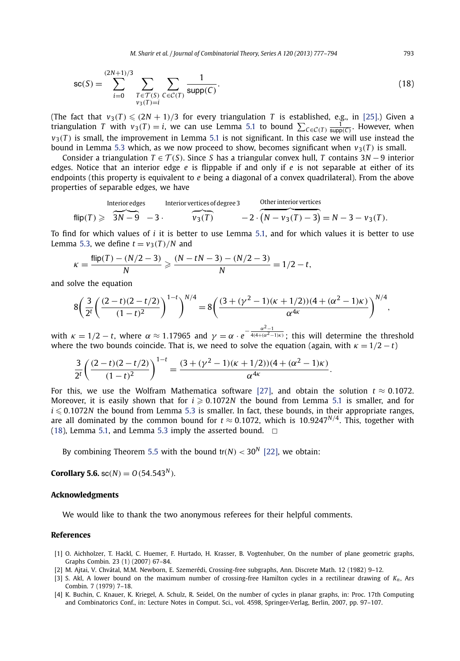*M. Sharir et al. / Journal of Combinatorial Theory, Series A 120 (2013) 777–794* 793

<span id="page-16-0"></span>
$$
sc(S) = \sum_{i=0}^{(2N+1)/3} \sum_{\substack{T \in \mathcal{T}(S) \\ v_3(T)=i}} \sum_{C \in \mathcal{C}(T)} \frac{1}{\text{supp}(C)}.
$$
 (18)

(The fact that  $v_3(T) \leqslant (2N + 1)/3$  for every triangulation *T* is established, e.g., in [\[25\].](#page-17-0)) Given a triangulation *T* with  $v_3(T) = i$ , we can use Lemma [5.1](#page-9-0) to bound  $\sum_{C \in \mathcal{C}(T)} \frac{1}{\text{supp}(C)}$ . However, when  $v_3(T)$  is small, the improvement in Lemma [5.1](#page-9-0) is not significant. In this case we will use instead the bound in Lemma [5.3](#page-13-0) which, as we now proceed to show, becomes significant when  $v_3(T)$  is small.

Consider a triangulation  $T \in \mathcal{T}(S)$ . Since *S* has a triangular convex hull, *T* contains 3*N* − 9 interior edges. Notice that an interior edge *e* is flippable if and only if *e* is not separable at either of its endpoints (this property is equivalent to *e* being a diagonal of a convex quadrilateral). From the above properties of separable edges, we have

$$
\text{Interior edges} \quad \text{Interior vertices of degree 3} \quad \text{Otherwise} \quad \text{other interior vertices} \\ \text{flip}(T) \geqslant \overbrace{3N-9}^{3N-9} -3 \cdot \overbrace{v_3(T)}^{5N-9} -2 \cdot \overbrace{(N-v_3(T)-3)}^{6} = N-3-v_3(T).
$$

To find for which values of *i* it is better to use Lemma [5.1,](#page-9-0) and for which values it is better to use Lemma [5.3,](#page-13-0) we define  $t = v_3(T)/N$  and

$$
\kappa = \frac{\text{flip}(T) - (N/2 - 3)}{N} \geqslant \frac{(N - tN - 3) - (N/2 - 3)}{N} = 1/2 - t,
$$

and solve the equation

$$
8\left(\frac{3}{2^t}\left(\frac{(2-t)(2-t/2)}{(1-t)^2}\right)^{1-t}\right)^{N/4}=8\left(\frac{(3+(\gamma^2-1)(\kappa+1/2))(4+(\alpha^2-1)\kappa)}{\alpha^{4\kappa}}\right)^{N/4},
$$

with  $\kappa = 1/2 - t$ , where  $\alpha \approx 1.17965$  and  $\gamma = \alpha \cdot e^{-\frac{\alpha^2 - 1}{4(4 + (\alpha^2 - 1)\kappa)}}$ ; this will determine the threshold where the two bounds coincide. That is, we need to solve the equation (again, with  $\kappa = 1/2 - t$ )

$$
\frac{3}{2^{t}}\left(\frac{(2-t)(2-t/2)}{(1-t)^{2}}\right)^{1-t} = \frac{(3+(\gamma^{2}-1)(\kappa+1/2))(4+(\alpha^{2}-1)\kappa)}{\alpha^{4\kappa}}.
$$

For this, we use the Wolfram Mathematica software [\[27\],](#page-17-0) and obtain the solution  $t \approx 0.1072$ . Moreover, it is easily shown that for  $i \ge 0.1072N$  the bound from Lemma [5.1](#page-9-0) is smaller, and for  $i \leqslant 0.1072N$  the bound from Lemma [5.3](#page-13-0) is smaller. In fact, these bounds, in their appropriate ranges, are all dominated by the common bound for  $t \approx 0.1072$ , which is 10.9247<sup>N/4</sup>. This, together with (18), Lemma [5.1,](#page-9-0) and Lemma [5.3](#page-13-0) imply the asserted bound.  $\Box$ 

By combining Theorem [5.5](#page-15-0) with the bound  $tr(N) < 30^N$  [\[22\],](#page-17-0) we obtain:

**Corollary 5.6.** sc $(N) = O(54.543^N)$ *.* 

#### **Acknowledgments**

We would like to thank the two anonymous referees for their helpful comments.

#### **References**

- [1] O. Aichholzer, T. Hackl, C. Huemer, F. Hurtado, H. Krasser, B. Vogtenhuber, On the number of plane geometric graphs, Graphs Combin. 23 (1) (2007) 67–84.
- [2] M. Ajtai, V. Chvátal, M.M. Newborn, E. Szemerédi, Crossing-free subgraphs, Ann. Discrete Math. 12 (1982) 9–12.
- [3] S. Akl, A lower bound on the maximum number of crossing-free Hamilton cycles in a rectilinear drawing of *Kn*, Ars Combin. 7 (1979) 7–18.
- [4] K. Buchin, C. Knauer, K. Kriegel, A. Schulz, R. Seidel, On the number of cycles in planar graphs, in: Proc. 17th Computing and Combinatorics Conf., in: Lecture Notes in Comput. Sci., vol. 4598, Springer-Verlag, Berlin, 2007, pp. 97–107.